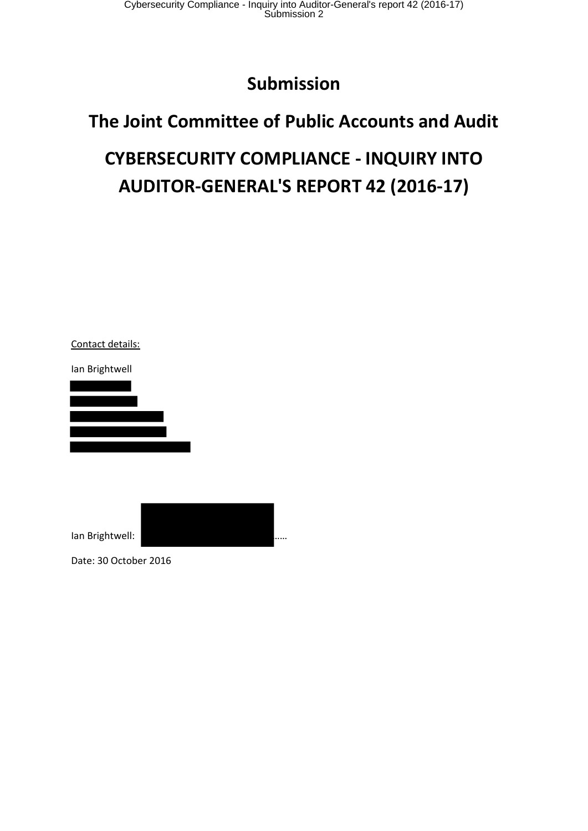Cybersecurity Compliance - Inquiry into Auditor-General's report 42 (2016-17) Submission 2

## **Submission**

## **The Joint Committee of Public Accounts and Audit**

# **CYBERSECURITY COMPLIANCE - INQUIRY INTO AUDITOR-GENERAL'S REPORT 42 (2016-17)**

Contact details: Ian Brightwell

Ian Brightwell: ……

Date: 30 October 2016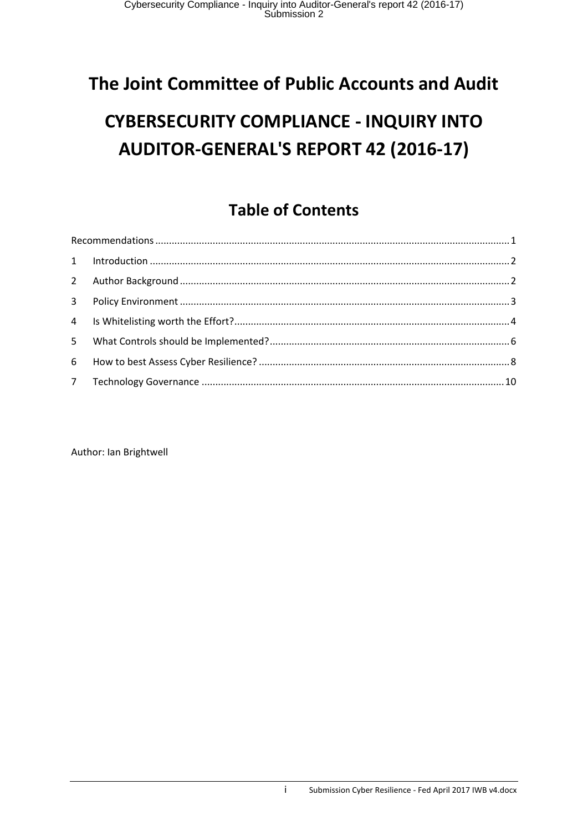# **The Joint Committee of Public Accounts and Audit**

# **CYBERSECURITY COMPLIANCE - INQUIRY INTO AUDITOR-GENERAL'S REPORT 42 (2016-17)**

### **Table of Contents**

Author: Ian Brightwell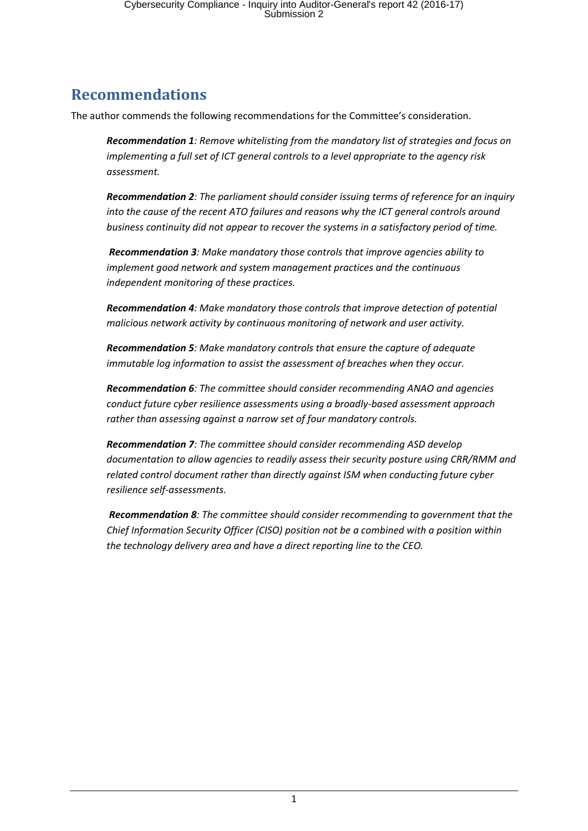### **Recommendations**

The author commends the following recommendations for the Committee's consideration.

*Recommendation 1: Remove whitelisting from the mandatory list of strategies and focus on implementing a full set of ICT general controls to a level appropriate to the agency risk assessment.*

*Recommendation 2: The parliament should consider issuing terms of reference for an inquiry into the cause of the recent ATO failures and reasons why the ICT general controls around business continuity did not appear to recover the systems in a satisfactory period of time.*

*Recommendation 3: Make mandatory those controls that improve agencies ability to implement good network and system management practices and the continuous independent monitoring of these practices.*

*Recommendation 4: Make mandatory those controls that improve detection of potential malicious network activity by continuous monitoring of network and user activity.*

*Recommendation 5: Make mandatory controls that ensure the capture of adequate immutable log information to assist the assessment of breaches when they occur.*

*Recommendation 6: The committee should consider recommending ANAO and agencies conduct future cyber resilience assessments using a broadly-based assessment approach rather than assessing against a narrow set of four mandatory controls.*

*Recommendation 7: The committee should consider recommending ASD develop documentation to allow agencies to readily assess their security posture using CRR/RMM and related control document rather than directly against ISM when conducting future cyber resilience self-assessments.*

*Recommendation 8: The committee should consider recommending to government that the Chief Information Security Officer (CISO) position not be a combined with a position within the technology delivery area and have a direct reporting line to the CEO.*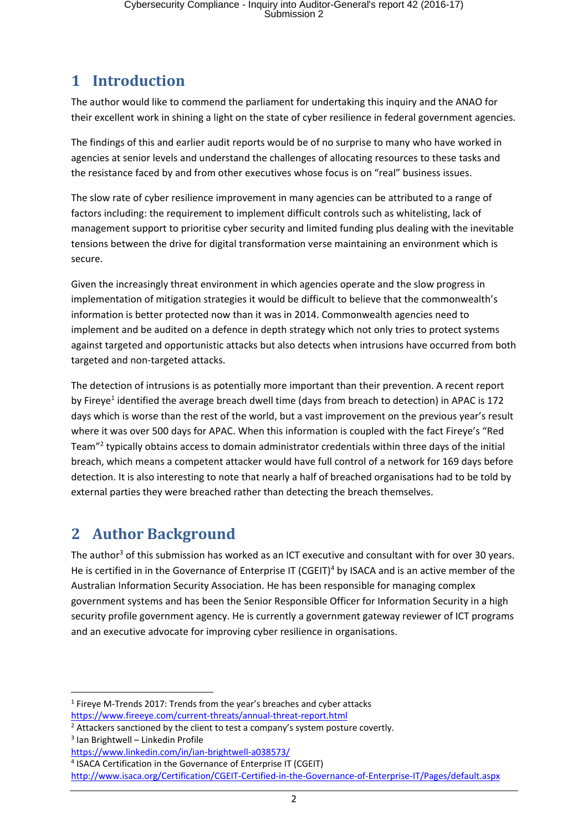#### **1 Introduction**

The author would like to commend the parliament for undertaking this inquiry and the ANAO for their excellent work in shining a light on the state of cyber resilience in federal government agencies.

The findings of this and earlier audit reports would be of no surprise to many who have worked in agencies at senior levels and understand the challenges of allocating resources to these tasks and the resistance faced by and from other executives whose focus is on "real" business issues.

The slow rate of cyber resilience improvement in many agencies can be attributed to a range of factors including: the requirement to implement difficult controls such as whitelisting, lack of management support to prioritise cyber security and limited funding plus dealing with the inevitable tensions between the drive for digital transformation verse maintaining an environment which is secure.

Given the increasingly threat environment in which agencies operate and the slow progress in implementation of mitigation strategies it would be difficult to believe that the commonwealth's information is better protected now than it was in 2014. Commonwealth agencies need to implement and be audited on a defence in depth strategy which not only tries to protect systems against targeted and opportunistic attacks but also detects when intrusions have occurred from both targeted and non-targeted attacks.

The detection of intrusions is as potentially more important than their prevention. A recent report by Fireye<sup>1</sup> identified the average breach dwell time (days from breach to detection) in APAC is 172 days which is worse than the rest of the world, but a vast improvement on the previous year's result where it was over 500 days for APAC. When this information is coupled with the fact Fireye's "Red Team"<sup>2</sup> typically obtains access to domain administrator credentials within three days of the initial breach, which means a competent attacker would have full control of a network for 169 days before detection. It is also interesting to note that nearly a half of breached organisations had to be told by external parties they were breached rather than detecting the breach themselves.

### **2 Author Background**

The author<sup>3</sup> of this submission has worked as an ICT executive and consultant with for over 30 years. He is certified in in the Governance of Enterprise IT (CGEIT)<sup>4</sup> by ISACA and is an active member of the Australian Information Security Association. He has been responsible for managing complex government systems and has been the Senior Responsible Officer for Information Security in a high security profile government agency. He is currently a government gateway reviewer of ICT programs and an executive advocate for improving cyber resilience in organisations.

<sup>1</sup> <sup>1</sup> Fireye M-Trends 2017: Trends from the year's breaches and cyber attacks https://www.fireeye.com/current-threats/annual-threat-report.html

<sup>&</sup>lt;sup>2</sup> Attackers sanctioned by the client to test a company's system posture covertly.

<sup>3</sup> Ian Brightwell – Linkedin Profile

https://www.linkedin.com/in/ian-brightwell-a038573/

<sup>4</sup> ISACA Certification in the Governance of Enterprise IT (CGEIT)

http://www.isaca.org/Certification/CGEIT-Certified-in-the-Governance-of-Enterprise-IT/Pages/default.aspx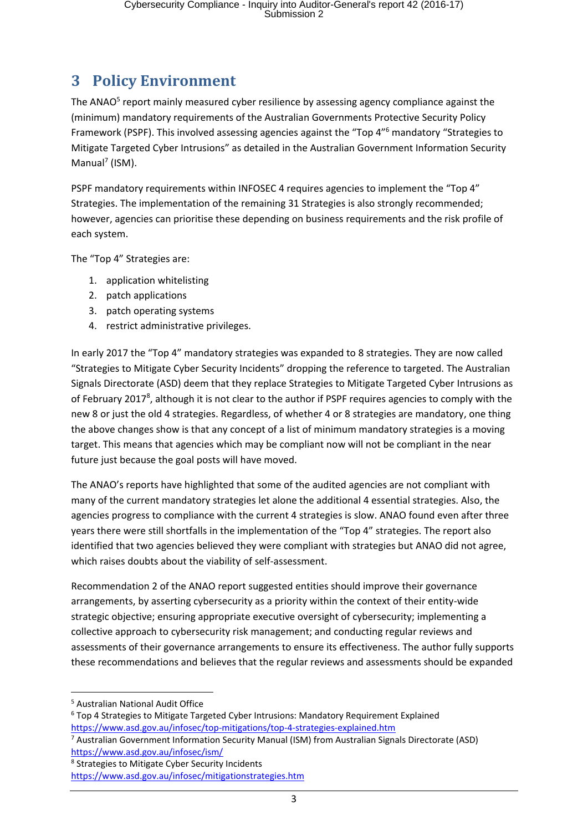### **3 Policy Environment**

The ANAO<sup>5</sup> report mainly measured cyber resilience by assessing agency compliance against the (minimum) mandatory requirements of the Australian Governments Protective Security Policy Framework (PSPF). This involved assessing agencies against the "Top 4" <sup>6</sup> mandatory "Strategies to Mitigate Targeted Cyber Intrusions" as detailed in the Australian Government Information Security Manual<sup>7</sup> (ISM).

PSPF mandatory requirements within INFOSEC 4 requires agencies to implement the "Top 4" Strategies. The implementation of the remaining 31 Strategies is also strongly recommended; however, agencies can prioritise these depending on business requirements and the risk profile of each system.

The "Top 4" Strategies are:

- 1. application whitelisting
- 2. patch applications
- 3. patch operating systems
- 4. restrict administrative privileges.

In early 2017 the "Top 4" mandatory strategies was expanded to 8 strategies. They are now called "Strategies to Mitigate Cyber Security Incidents" dropping the reference to targeted. The Australian Signals Directorate (ASD) deem that they replace Strategies to Mitigate Targeted Cyber Intrusions as of February 2017<sup>8</sup>, although it is not clear to the author if PSPF requires agencies to comply with the new 8 or just the old 4 strategies. Regardless, of whether 4 or 8 strategies are mandatory, one thing the above changes show is that any concept of a list of minimum mandatory strategies is a moving target. This means that agencies which may be compliant now will not be compliant in the near future just because the goal posts will have moved.

The ANAO's reports have highlighted that some of the audited agencies are not compliant with many of the current mandatory strategies let alone the additional 4 essential strategies. Also, the agencies progress to compliance with the current 4 strategies is slow. ANAO found even after three years there were still shortfalls in the implementation of the "Top 4" strategies. The report also identified that two agencies believed they were compliant with strategies but ANAO did not agree, which raises doubts about the viability of self-assessment.

Recommendation 2 of the ANAO report suggested entities should improve their governance arrangements, by asserting cybersecurity as a priority within the context of their entity-wide strategic objective; ensuring appropriate executive oversight of cybersecurity; implementing a collective approach to cybersecurity risk management; and conducting regular reviews and assessments of their governance arrangements to ensure its effectiveness. The author fully supports these recommendations and believes that the regular reviews and assessments should be expanded

- <sup>6</sup> Top 4 Strategies to Mitigate Targeted Cyber Intrusions: Mandatory Requirement Explained https://www.asd.gov.au/infosec/top-mitigations/top-4-strategies-explained.htm
- <sup>7</sup> Australian Government Information Security Manual (ISM) from Australian Signals Directorate (ASD) https://www.asd.gov.au/infosec/ism/
- <sup>8</sup> Strategies to Mitigate Cyber Security Incidents

<sup>1</sup> <sup>5</sup> Australian National Audit Office

https://www.asd.gov.au/infosec/mitigationstrategies.htm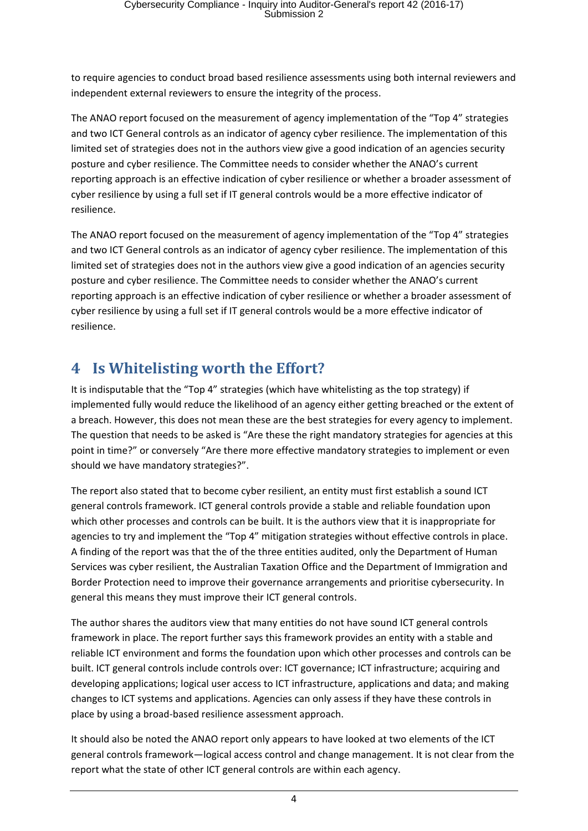to require agencies to conduct broad based resilience assessments using both internal reviewers and independent external reviewers to ensure the integrity of the process.

The ANAO report focused on the measurement of agency implementation of the "Top 4" strategies and two ICT General controls as an indicator of agency cyber resilience. The implementation of this limited set of strategies does not in the authors view give a good indication of an agencies security posture and cyber resilience. The Committee needs to consider whether the ANAO's current reporting approach is an effective indication of cyber resilience or whether a broader assessment of cyber resilience by using a full set if IT general controls would be a more effective indicator of resilience.

The ANAO report focused on the measurement of agency implementation of the "Top 4" strategies and two ICT General controls as an indicator of agency cyber resilience. The implementation of this limited set of strategies does not in the authors view give a good indication of an agencies security posture and cyber resilience. The Committee needs to consider whether the ANAO's current reporting approach is an effective indication of cyber resilience or whether a broader assessment of cyber resilience by using a full set if IT general controls would be a more effective indicator of resilience.

#### **4 Is Whitelisting worth the Effort?**

It is indisputable that the "Top 4" strategies (which have whitelisting as the top strategy) if implemented fully would reduce the likelihood of an agency either getting breached or the extent of a breach. However, this does not mean these are the best strategies for every agency to implement. The question that needs to be asked is "Are these the right mandatory strategies for agencies at this point in time?" or conversely "Are there more effective mandatory strategies to implement or even should we have mandatory strategies?".

The report also stated that to become cyber resilient, an entity must first establish a sound ICT general controls framework. ICT general controls provide a stable and reliable foundation upon which other processes and controls can be built. It is the authors view that it is inappropriate for agencies to try and implement the "Top 4" mitigation strategies without effective controls in place. A finding of the report was that the of the three entities audited, only the Department of Human Services was cyber resilient, the Australian Taxation Office and the Department of Immigration and Border Protection need to improve their governance arrangements and prioritise cybersecurity. In general this means they must improve their ICT general controls.

The author shares the auditors view that many entities do not have sound ICT general controls framework in place. The report further says this framework provides an entity with a stable and reliable ICT environment and forms the foundation upon which other processes and controls can be built. ICT general controls include controls over: ICT governance; ICT infrastructure; acquiring and developing applications; logical user access to ICT infrastructure, applications and data; and making changes to ICT systems and applications. Agencies can only assess if they have these controls in place by using a broad-based resilience assessment approach.

It should also be noted the ANAO report only appears to have looked at two elements of the ICT general controls framework—logical access control and change management. It is not clear from the report what the state of other ICT general controls are within each agency.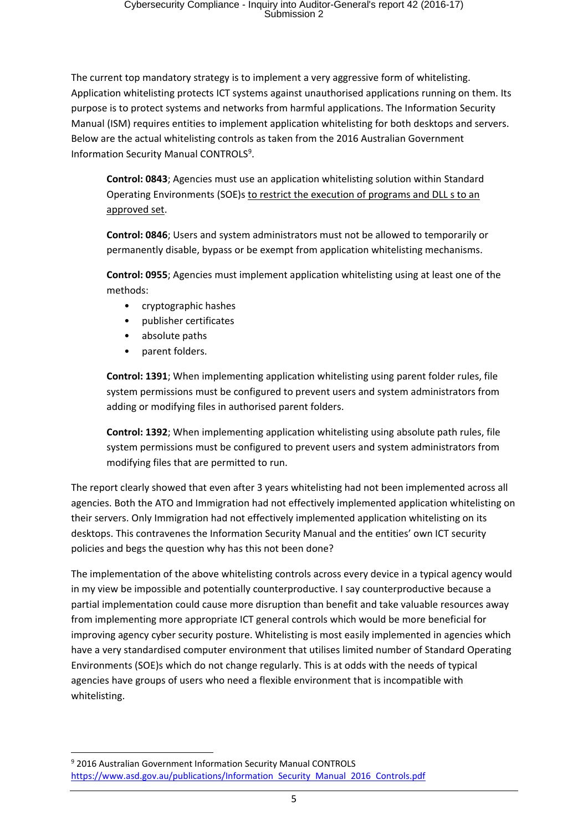The current top mandatory strategy is to implement a very aggressive form of whitelisting. Application whitelisting protects ICT systems against unauthorised applications running on them. Its purpose is to protect systems and networks from harmful applications. The Information Security Manual (ISM) requires entities to implement application whitelisting for both desktops and servers. Below are the actual whitelisting controls as taken from the 2016 Australian Government Information Security Manual CONTROLS<sup>9</sup>.

**Control: 0843**; Agencies must use an application whitelisting solution within Standard Operating Environments (SOE)s to restrict the execution of programs and DLL s to an approved set.

**Control: 0846**; Users and system administrators must not be allowed to temporarily or permanently disable, bypass or be exempt from application whitelisting mechanisms.

**Control: 0955**; Agencies must implement application whitelisting using at least one of the methods:

- cryptographic hashes
- publisher certificates
- absolute paths
- parent folders.

**.** 

**Control: 1391**; When implementing application whitelisting using parent folder rules, file system permissions must be configured to prevent users and system administrators from adding or modifying files in authorised parent folders.

**Control: 1392**; When implementing application whitelisting using absolute path rules, file system permissions must be configured to prevent users and system administrators from modifying files that are permitted to run.

The report clearly showed that even after 3 years whitelisting had not been implemented across all agencies. Both the ATO and Immigration had not effectively implemented application whitelisting on their servers. Only Immigration had not effectively implemented application whitelisting on its desktops. This contravenes the Information Security Manual and the entities' own ICT security policies and begs the question why has this not been done?

The implementation of the above whitelisting controls across every device in a typical agency would in my view be impossible and potentially counterproductive. I say counterproductive because a partial implementation could cause more disruption than benefit and take valuable resources away from implementing more appropriate ICT general controls which would be more beneficial for improving agency cyber security posture. Whitelisting is most easily implemented in agencies which have a very standardised computer environment that utilises limited number of Standard Operating Environments (SOE)s which do not change regularly. This is at odds with the needs of typical agencies have groups of users who need a flexible environment that is incompatible with whitelisting.

<sup>9</sup> 2016 Australian Government Information Security Manual CONTROLS https://www.asd.gov.au/publications/Information Security Manual 2016 Controls.pdf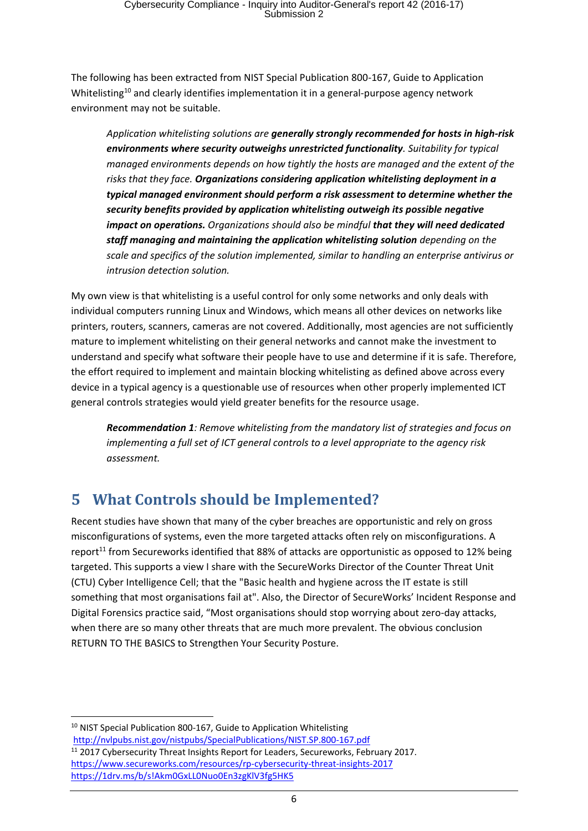The following has been extracted from NIST Special Publication 800-167, Guide to Application Whitelisting<sup>10</sup> and clearly identifies implementation it in a general-purpose agency network environment may not be suitable.

*Application whitelisting solutions are generally strongly recommended for hosts in high-risk environments where security outweighs unrestricted functionality. Suitability for typical managed environments depends on how tightly the hosts are managed and the extent of the risks that they face. Organizations considering application whitelisting deployment in a typical managed environment should perform a risk assessment to determine whether the security benefits provided by application whitelisting outweigh its possible negative impact on operations. Organizations should also be mindful that they will need dedicated staff managing and maintaining the application whitelisting solution depending on the scale and specifics of the solution implemented, similar to handling an enterprise antivirus or intrusion detection solution.*

My own view is that whitelisting is a useful control for only some networks and only deals with individual computers running Linux and Windows, which means all other devices on networks like printers, routers, scanners, cameras are not covered. Additionally, most agencies are not sufficiently mature to implement whitelisting on their general networks and cannot make the investment to understand and specify what software their people have to use and determine if it is safe. Therefore, the effort required to implement and maintain blocking whitelisting as defined above across every device in a typical agency is a questionable use of resources when other properly implemented ICT general controls strategies would yield greater benefits for the resource usage.

*Recommendation 1: Remove whitelisting from the mandatory list of strategies and focus on implementing a full set of ICT general controls to a level appropriate to the agency risk assessment.*

#### **5 What Controls should be Implemented?**

Recent studies have shown that many of the cyber breaches are opportunistic and rely on gross misconfigurations of systems, even the more targeted attacks often rely on misconfigurations. A report<sup>11</sup> from Secureworks identified that 88% of attacks are opportunistic as opposed to 12% being targeted. This supports a view I share with the SecureWorks Director of the Counter Threat Unit (CTU) Cyber Intelligence Cell; that the "Basic health and hygiene across the IT estate is still something that most organisations fail at". Also, the Director of SecureWorks' Incident Response and Digital Forensics practice said, "Most organisations should stop worrying about zero-day attacks, when there are so many other threats that are much more prevalent. The obvious conclusion RETURN TO THE BASICS to Strengthen Your Security Posture.

<sup>10</sup> NIST Special Publication 800-167, Guide to Application Whitelisting http://nvlpubs.nist.gov/nistpubs/SpecialPublications/NIST.SP.800-167.pdf

**.** 

<sup>&</sup>lt;sup>11</sup> 2017 Cybersecurity Threat Insights Report for Leaders, Secureworks, February 2017. https://www.secureworks.com/resources/rp-cybersecurity-threat-insights-2017 https://1drv.ms/b/s!Akm0GxLL0Nuo0En3zgKlV3fg5HK5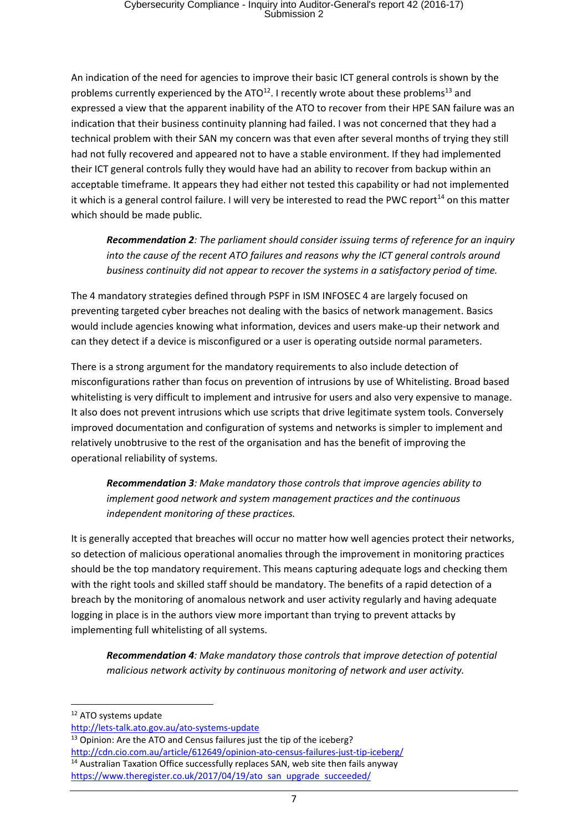An indication of the need for agencies to improve their basic ICT general controls is shown by the problems currently experienced by the ATO $^{12}$ . I recently wrote about these problems<sup>13</sup> and expressed a view that the apparent inability of the ATO to recover from their HPE SAN failure was an indication that their business continuity planning had failed. I was not concerned that they had a technical problem with their SAN my concern was that even after several months of trying they still had not fully recovered and appeared not to have a stable environment. If they had implemented their ICT general controls fully they would have had an ability to recover from backup within an acceptable timeframe. It appears they had either not tested this capability or had not implemented it which is a general control failure. I will very be interested to read the PWC report<sup>14</sup> on this matter which should be made public.

*Recommendation 2: The parliament should consider issuing terms of reference for an inquiry into the cause of the recent ATO failures and reasons why the ICT general controls around business continuity did not appear to recover the systems in a satisfactory period of time.*

The 4 mandatory strategies defined through PSPF in ISM INFOSEC 4 are largely focused on preventing targeted cyber breaches not dealing with the basics of network management. Basics would include agencies knowing what information, devices and users make-up their network and can they detect if a device is misconfigured or a user is operating outside normal parameters.

There is a strong argument for the mandatory requirements to also include detection of misconfigurations rather than focus on prevention of intrusions by use of Whitelisting. Broad based whitelisting is very difficult to implement and intrusive for users and also very expensive to manage. It also does not prevent intrusions which use scripts that drive legitimate system tools. Conversely improved documentation and configuration of systems and networks is simpler to implement and relatively unobtrusive to the rest of the organisation and has the benefit of improving the operational reliability of systems.

*Recommendation 3: Make mandatory those controls that improve agencies ability to implement good network and system management practices and the continuous independent monitoring of these practices.*

It is generally accepted that breaches will occur no matter how well agencies protect their networks, so detection of malicious operational anomalies through the improvement in monitoring practices should be the top mandatory requirement. This means capturing adequate logs and checking them with the right tools and skilled staff should be mandatory. The benefits of a rapid detection of a breach by the monitoring of anomalous network and user activity regularly and having adequate logging in place is in the authors view more important than trying to prevent attacks by implementing full whitelisting of all systems.

*Recommendation 4: Make mandatory those controls that improve detection of potential malicious network activity by continuous monitoring of network and user activity.*

<sup>12</sup> ATO systems update

**.** 

http://lets-talk.ato.gov.au/ato-systems-update

<sup>&</sup>lt;sup>13</sup> Opinion: Are the ATO and Census failures just the tip of the iceberg? http://cdn.cio.com.au/article/612649/opinion-ato-census-failures-just-tip-iceberg/ <sup>14</sup> Australian Taxation Office successfully replaces SAN, web site then fails anyway https://www.theregister.co.uk/2017/04/19/ato san upgrade succeeded/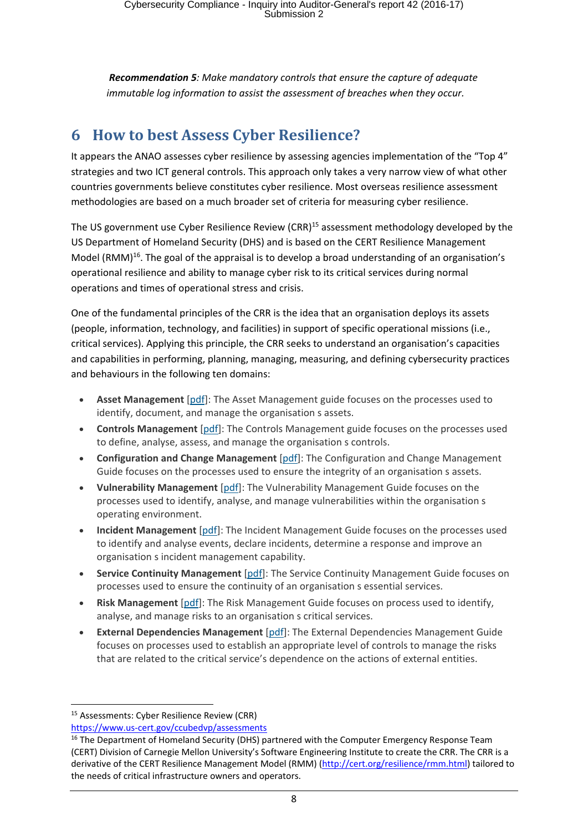*Recommendation 5: Make mandatory controls that ensure the capture of adequate immutable log information to assist the assessment of breaches when they occur.*

#### **6 How to best Assess Cyber Resilience?**

It appears the ANAO assesses cyber resilience by assessing agencies implementation of the "Top 4" strategies and two ICT general controls. This approach only takes a very narrow view of what other countries governments believe constitutes cyber resilience. Most overseas resilience assessment methodologies are based on a much broader set of criteria for measuring cyber resilience.

The US government use Cyber Resilience Review (CRR)<sup>15</sup> assessment methodology developed by the US Department of Homeland Security (DHS) and is based on the CERT Resilience Management Model (RMM)<sup>16</sup>. The goal of the appraisal is to develop a broad understanding of an organisation's operational resilience and ability to manage cyber risk to its critical services during normal operations and times of operational stress and crisis.

One of the fundamental principles of the CRR is the idea that an organisation deploys its assets (people, information, technology, and facilities) in support of specific operational missions (i.e., critical services). Applying this principle, the CRR seeks to understand an organisation's capacities and capabilities in performing, planning, managing, measuring, and defining cybersecurity practices and behaviours in the following ten domains:

- **Asset Management** [pdf]: The Asset Management guide focuses on the processes used to identify, document, and manage the organisation s assets.
- **Controls Management** [pdf]: The Controls Management guide focuses on the processes used to define, analyse, assess, and manage the organisation s controls.
- **Configuration and Change Management** [pdf]: The Configuration and Change Management Guide focuses on the processes used to ensure the integrity of an organisation s assets.
- **Vulnerability Management** [pdf]: The Vulnerability Management Guide focuses on the processes used to identify, analyse, and manage vulnerabilities within the organisation s operating environment.
- **Incident Management** [pdf]: The Incident Management Guide focuses on the processes used to identify and analyse events, declare incidents, determine a response and improve an organisation s incident management capability.
- **Service Continuity Management** [pdf]: The Service Continuity Management Guide focuses on processes used to ensure the continuity of an organisation s essential services.
- **Risk Management** [pdf]: The Risk Management Guide focuses on process used to identify, analyse, and manage risks to an organisation s critical services.
- **External Dependencies Management** [pdf]: The External Dependencies Management Guide focuses on processes used to establish an appropriate level of controls to manage the risks that are related to the critical service's dependence on the actions of external entities.

**.** 

<sup>15</sup> Assessments: Cyber Resilience Review (CRR)

https://www.us-cert.gov/ccubedvp/assessments

<sup>&</sup>lt;sup>16</sup> The Department of Homeland Security (DHS) partnered with the Computer Emergency Response Team (CERT) Division of Carnegie Mellon University's Software Engineering Institute to create the CRR. The CRR is a derivative of the CERT Resilience Management Model (RMM) (http://cert.org/resilience/rmm.html) tailored to the needs of critical infrastructure owners and operators.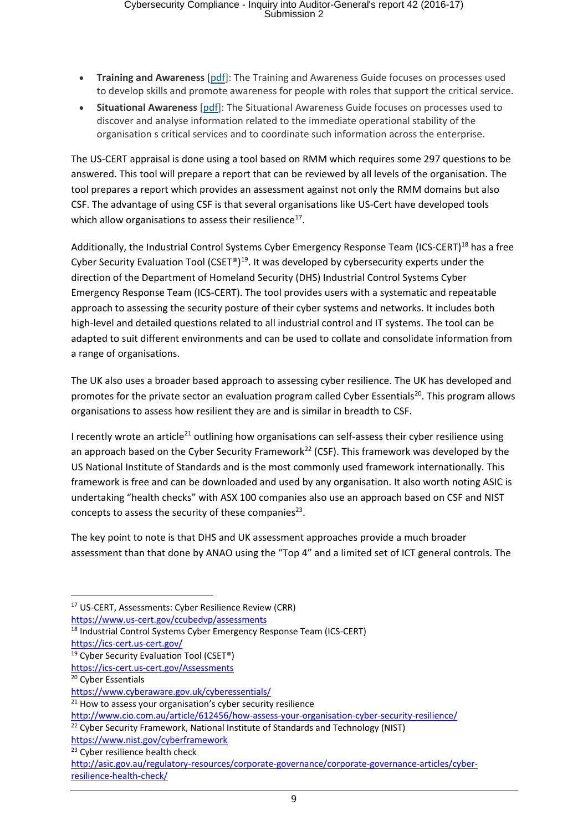- **Training and Awareness** [pdf]: The Training and Awareness Guide focuses on processes used to develop skills and promote awareness for people with roles that support the critical service.
- **Situational Awareness** [pdf]: The Situational Awareness Guide focuses on processes used to discover and analyse information related to the immediate operational stability of the organisation s critical services and to coordinate such information across the enterprise.

The US-CERT appraisal is done using a tool based on RMM which requires some 297 questions to be answered. This tool will prepare a report that can be reviewed by all levels of the organisation. The tool prepares a report which provides an assessment against not only the RMM domains but also CSF. The advantage of using CSF is that several organisations like US-Cert have developed tools which allow organisations to assess their resilience<sup>17</sup>.

Additionally, the Industrial Control Systems Cyber Emergency Response Team (ICS-CERT)<sup>18</sup> has a free Cyber Security Evaluation Tool (CSET®)<sup>19</sup>. It was developed by cybersecurity experts under the direction of the Department of Homeland Security (DHS) Industrial Control Systems Cyber Emergency Response Team (ICS-CERT). The tool provides users with a systematic and repeatable approach to assessing the security posture of their cyber systems and networks. It includes both high-level and detailed questions related to all industrial control and IT systems. The tool can be adapted to suit different environments and can be used to collate and consolidate information from a range of organisations.

The UK also uses a broader based approach to assessing cyber resilience. The UK has developed and promotes for the private sector an evaluation program called Cyber Essentials<sup>20</sup>. This program allows organisations to assess how resilient they are and is similar in breadth to CSF.

I recently wrote an article<sup>21</sup> outlining how organisations can self-assess their cyber resilience using an approach based on the Cyber Security Framework<sup>22</sup> (CSF). This framework was developed by the US National Institute of Standards and is the most commonly used framework internationally. This framework is free and can be downloaded and used by any organisation. It also worth noting ASIC is undertaking "health checks" with ASX 100 companies also use an approach based on CSF and NIST concepts to assess the security of these companies<sup>23</sup>.

The key point to note is that DHS and UK assessment approaches provide a much broader assessment than that done by ANAO using the "Top 4" and a limited set of ICT general controls. The

https://www.us-cert.gov/ccubedvp/assessments

https://ics-cert.us-cert.gov/

https://www.nist.gov/cyberframework

<sup>23</sup> Cyber resilience health check

**<sup>.</sup>** <sup>17</sup> US-CERT, Assessments: Cyber Resilience Review (CRR)

<sup>&</sup>lt;sup>18</sup> Industrial Control Systems Cyber Emergency Response Team (ICS-CERT)

 $19$  Cyber Security Evaluation Tool (CSET®)

https://ics-cert.us-cert.gov/Assessments

<sup>20</sup> Cyber Essentials

https://www.cyberaware.gov.uk/cyberessentials/

 $21$  How to assess your organisation's cyber security resilience

http://www.cio.com.au/article/612456/how-assess-your-organisation-cyber-security-resilience/

<sup>&</sup>lt;sup>22</sup> Cyber Security Framework, National Institute of Standards and Technology (NIST)

http://asic.gov.au/regulatory-resources/corporate-governance/corporate-governance-articles/cyberresilience-health-check/